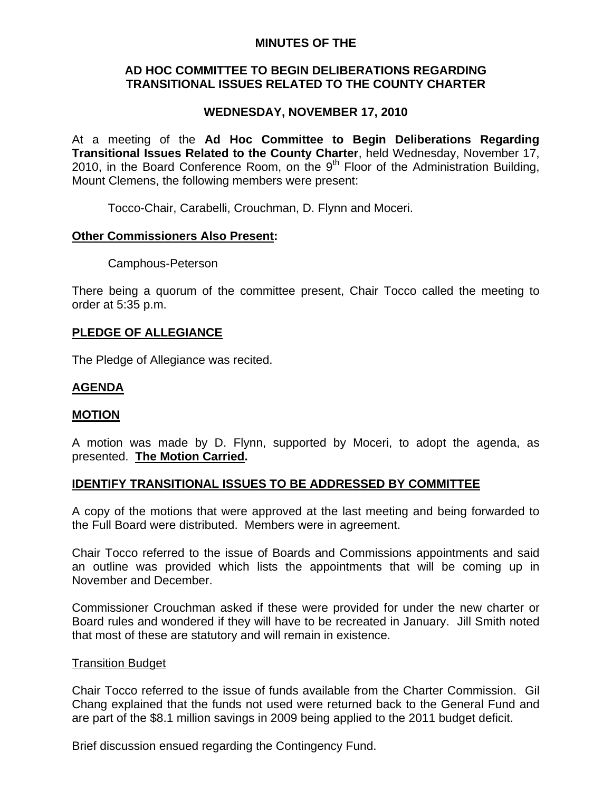## **MINUTES OF THE**

## **AD HOC COMMITTEE TO BEGIN DELIBERATIONS REGARDING TRANSITIONAL ISSUES RELATED TO THE COUNTY CHARTER**

# **WEDNESDAY, NOVEMBER 17, 2010**

At a meeting of the **Ad Hoc Committee to Begin Deliberations Regarding Transitional Issues Related to the County Charter**, held Wednesday, November 17, 2010, in the Board Conference Room, on the  $9<sup>th</sup>$  Floor of the Administration Building, Mount Clemens, the following members were present:

Tocco-Chair, Carabelli, Crouchman, D. Flynn and Moceri.

## **Other Commissioners Also Present:**

Camphous-Peterson

There being a quorum of the committee present, Chair Tocco called the meeting to order at 5:35 p.m.

# **PLEDGE OF ALLEGIANCE**

The Pledge of Allegiance was recited.

# **AGENDA**

## **MOTION**

A motion was made by D. Flynn, supported by Moceri, to adopt the agenda, as presented. **The Motion Carried.** 

# **IDENTIFY TRANSITIONAL ISSUES TO BE ADDRESSED BY COMMITTEE**

A copy of the motions that were approved at the last meeting and being forwarded to the Full Board were distributed. Members were in agreement.

Chair Tocco referred to the issue of Boards and Commissions appointments and said an outline was provided which lists the appointments that will be coming up in November and December.

Commissioner Crouchman asked if these were provided for under the new charter or Board rules and wondered if they will have to be recreated in January. Jill Smith noted that most of these are statutory and will remain in existence.

## Transition Budget

Chair Tocco referred to the issue of funds available from the Charter Commission. Gil Chang explained that the funds not used were returned back to the General Fund and are part of the \$8.1 million savings in 2009 being applied to the 2011 budget deficit.

Brief discussion ensued regarding the Contingency Fund.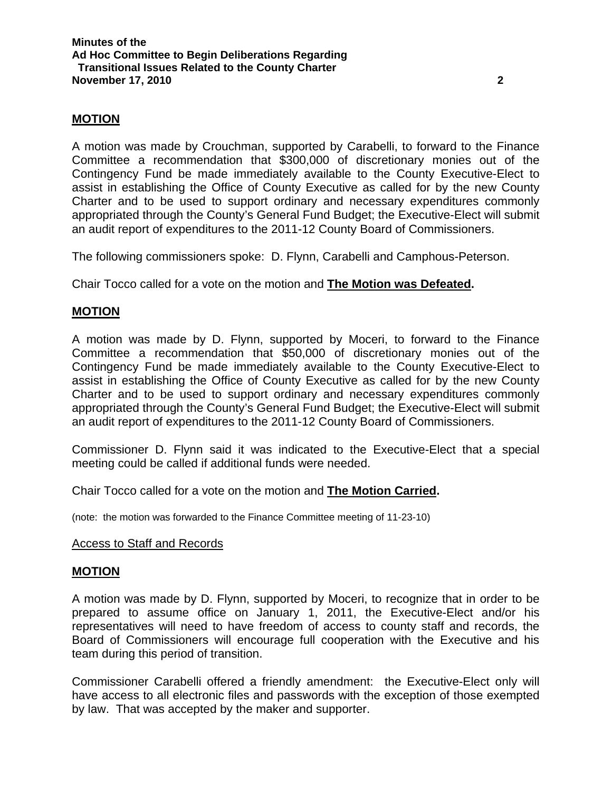## **MOTION**

A motion was made by Crouchman, supported by Carabelli, to forward to the Finance Committee a recommendation that \$300,000 of discretionary monies out of the Contingency Fund be made immediately available to the County Executive-Elect to assist in establishing the Office of County Executive as called for by the new County Charter and to be used to support ordinary and necessary expenditures commonly appropriated through the County's General Fund Budget; the Executive-Elect will submit an audit report of expenditures to the 2011-12 County Board of Commissioners.

The following commissioners spoke: D. Flynn, Carabelli and Camphous-Peterson.

Chair Tocco called for a vote on the motion and **The Motion was Defeated.** 

## **MOTION**

A motion was made by D. Flynn, supported by Moceri, to forward to the Finance Committee a recommendation that \$50,000 of discretionary monies out of the Contingency Fund be made immediately available to the County Executive-Elect to assist in establishing the Office of County Executive as called for by the new County Charter and to be used to support ordinary and necessary expenditures commonly appropriated through the County's General Fund Budget; the Executive-Elect will submit an audit report of expenditures to the 2011-12 County Board of Commissioners.

Commissioner D. Flynn said it was indicated to the Executive-Elect that a special meeting could be called if additional funds were needed.

Chair Tocco called for a vote on the motion and **The Motion Carried.** 

(note: the motion was forwarded to the Finance Committee meeting of 11-23-10)

#### Access to Staff and Records

#### **MOTION**

A motion was made by D. Flynn, supported by Moceri, to recognize that in order to be prepared to assume office on January 1, 2011, the Executive-Elect and/or his representatives will need to have freedom of access to county staff and records, the Board of Commissioners will encourage full cooperation with the Executive and his team during this period of transition.

Commissioner Carabelli offered a friendly amendment: the Executive-Elect only will have access to all electronic files and passwords with the exception of those exempted by law. That was accepted by the maker and supporter.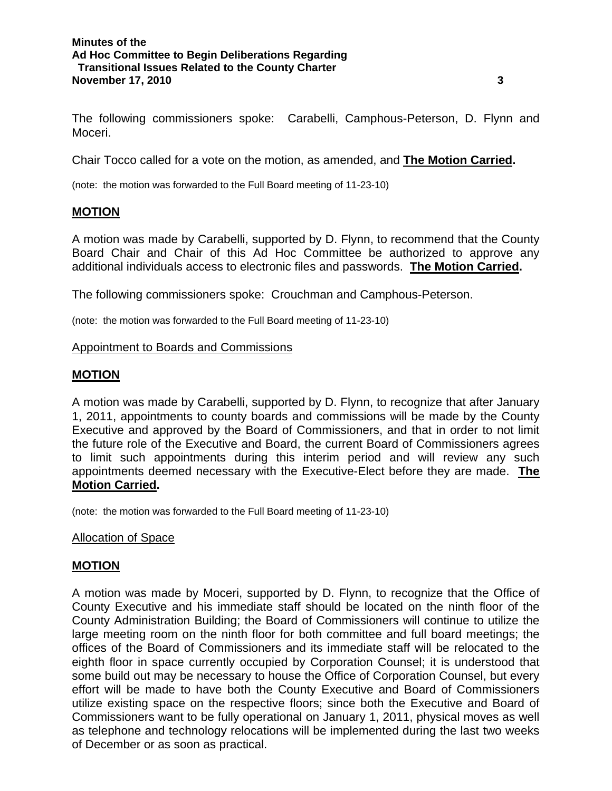The following commissioners spoke: Carabelli, Camphous-Peterson, D. Flynn and Moceri.

Chair Tocco called for a vote on the motion, as amended, and **The Motion Carried.** 

(note: the motion was forwarded to the Full Board meeting of 11-23-10)

## **MOTION**

A motion was made by Carabelli, supported by D. Flynn, to recommend that the County Board Chair and Chair of this Ad Hoc Committee be authorized to approve any additional individuals access to electronic files and passwords. **The Motion Carried.**

The following commissioners spoke: Crouchman and Camphous-Peterson.

(note: the motion was forwarded to the Full Board meeting of 11-23-10)

## Appointment to Boards and Commissions

## **MOTION**

A motion was made by Carabelli, supported by D. Flynn, to recognize that after January 1, 2011, appointments to county boards and commissions will be made by the County Executive and approved by the Board of Commissioners, and that in order to not limit the future role of the Executive and Board, the current Board of Commissioners agrees to limit such appointments during this interim period and will review any such appointments deemed necessary with the Executive-Elect before they are made. **The Motion Carried.** 

(note: the motion was forwarded to the Full Board meeting of 11-23-10)

## **Allocation of Space**

# **MOTION**

A motion was made by Moceri, supported by D. Flynn, to recognize that the Office of County Executive and his immediate staff should be located on the ninth floor of the County Administration Building; the Board of Commissioners will continue to utilize the large meeting room on the ninth floor for both committee and full board meetings; the offices of the Board of Commissioners and its immediate staff will be relocated to the eighth floor in space currently occupied by Corporation Counsel; it is understood that some build out may be necessary to house the Office of Corporation Counsel, but every effort will be made to have both the County Executive and Board of Commissioners utilize existing space on the respective floors; since both the Executive and Board of Commissioners want to be fully operational on January 1, 2011, physical moves as well as telephone and technology relocations will be implemented during the last two weeks of December or as soon as practical.